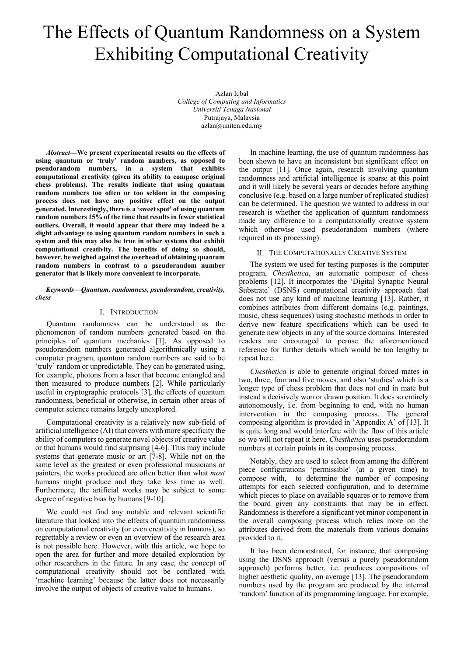# The Effects of Quantum Randomness on a System Exhibiting Computational Creativity

Azlan Iqbal *College of Computing and Informatics Universiti Tenaga Nasional* Putrajaya, Malaysia azlan@uniten.edu.my

*Abstract***—We present experimental results on the effects of using quantum or 'truly' random numbers, as opposed to pseudorandom numbers, in a system that exhibits computational creativity (given its ability to compose original chess problems). The results indicate that using quantum random numbers too often or too seldom in the composing process does not have any positive effect on the output generated. Interestingly, there is a 'sweet spot' of using quantum random numbers 15% of the time that results in fewer statistical outliers. Overall, it would appear that there may indeed be a slight advantage to using quantum random numbers in such a system and this may also be true in other systems that exhibit computational creativity. The benefits of doing so should, however, be weighed against the overhead of obtaining quantum random numbers in contrast to a pseudorandom number generator that is likely more convenient to incorporate.**

*Keywords—Quantum, randomness, pseudorandom, creativity, chess*

## I. INTRODUCTION

Quantum randomness can be understood as the phenomenon of random numbers generated based on the principles of quantum mechanics [1]. As opposed to pseudorandom numbers generated algorithmically using a computer program, quantum random numbers are said to be 'truly' random or unpredictable. They can be generated using, for example, photons from a laser that become entangled and then measured to produce numbers [2]. While particularly useful in cryptographic protocols [3], the effects of quantum randomness, beneficial or otherwise, in certain other areas of computer science remains largely unexplored.

Computational creativity is a relatively new sub-field of artificial intelligence (AI) that covers with more specificity the ability of computers to generate novel objects of creative value or that humans would find surprising [4-6]. This may include systems that generate music or art [7-8]. While not on the same level as the greatest or even professional musicians or painters, the works produced are often better than what *most* humans might produce and they take less time as well. Furthermore, the artificial works may be subject to some degree of negative bias by humans [9-10].

We could not find any notable and relevant scientific literature that looked into the effects of quantum randomness on computational creativity (or even creativity in humans), so regrettably a review or even an overview of the research area is not possible here. However, with this article, we hope to open the area for further and more detailed exploration by other researchers in the future. In any case, the concept of computational creativity should not be conflated with 'machine learning' because the latter does not necessarily involve the output of objects of creative value to humans.

In machine learning, the use of quantum randomness has been shown to have an inconsistent but significant effect on the output [11]. Once again, research involving quantum randomness and artificial intelligence is sparse at this point and it will likely be several years or decades before anything conclusive (e.g. based on a large number of replicated studies) can be determined. The question we wanted to address in our research is whether the application of quantum randomness made any difference to a computationally creative system which otherwise used pseudorandom numbers (where required in its processing).

# II. THE COMPUTATIONALLY CREATIVE SYSTEM

The system we used for testing purposes is the computer program, *Chesthetica*, an automatic composer of chess problems [12]. It incorporates the 'Digital Synaptic Neural Substrate' (DSNS) computational creativity approach that does not use any kind of machine learning [13]. Rather, it combines attributes from different domains (e.g. paintings, music, chess sequences) using stochastic methods in order to derive new feature specifications which can be used to generate new objects in any of the source domains. Interested readers are encouraged to peruse the aforementioned reference for further details which would be too lengthy to repeat here.

*Chesthetica* is able to generate original forced mates in two, three, four and five moves, and also 'studies' which is a longer type of chess problem that does not end in mate but instead a decisively won or drawn position. It does so entirely autonomously, i.e. from beginning to end, with no human intervention in the composing process. The general composing algorithm is provided in 'Appendix A' of [13]. It is quite long and would interfere with the flow of this article so we will not repeat it here. *Chesthetica* uses pseudorandom numbers at certain points in its composing process.

Notably, they are used to select from among the different piece configurations 'permissible' (at a given time) to compose with, to determine the number of composing attempts for each selected configuration, and to determine which pieces to place on available squares or to remove from the board given any constraints that may be in effect. Randomness is therefore a significant yet minor component in the overall composing process which relies more on the attributes derived from the materials from various domains provided to it.

It has been demonstrated, for instance, that composing using the DSNS approach (versus a purely pseudorandom approach) performs better, i.e. produces compositions of higher aesthetic quality, on average [13]. The pseudorandom numbers used by the program are produced by the internal 'random' function of its programming language. For example,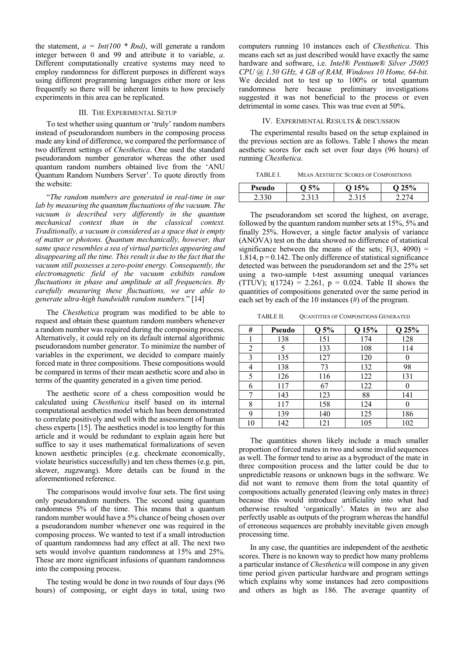the statement,  $a = Int(100 * Rnd)$ , will generate a random integer between 0 and 99 and attribute it to variable, *a*. Different computationally creative systems may need to employ randomness for different purposes in different ways using different programming languages either more or less frequently so there will be inherent limits to how precisely experiments in this area can be replicated.

#### III. THE EXPERIMENTAL SETUP

To test whether using quantum or 'truly' random numbers instead of pseudorandom numbers in the composing process made any kind of difference, we compared the performance of two different settings of *Chesthetica*. One used the standard pseudorandom number generator whereas the other used quantum random numbers obtained live from the 'ANU Quantum Random Numbers Server'. To quote directly from the website:

"*The random numbers are generated in real-time in our lab by measuring the quantum fluctuations of the vacuum. The vacuum is described very differently in the quantum mechanical context than in the classical context. Traditionally, a vacuum is considered as a space that is empty of matter or photons. Quantum mechanically, however, that same space resembles a sea of virtual particles appearing and disappearing all the time. This result is due to the fact that the vacuum still possesses a zero-point energy. Consequently, the electromagnetic field of the vacuum exhibits random fluctuations in phase and amplitude at all frequencies. By carefully measuring these fluctuations, we are able to generate ultra-high bandwidth random numbers.*" [14]

The *Chesthetica* program was modified to be able to request and obtain these quantum random numbers whenever a random number was required during the composing process. Alternatively, it could rely on its default internal algorithmic pseudorandom number generator. To minimize the number of variables in the experiment, we decided to compare mainly forced mate in three compositions. These compositions would be compared in terms of their mean aesthetic score and also in terms of the quantity generated in a given time period.

The aesthetic score of a chess composition would be calculated using *Chesthetica* itself based on its internal computational aesthetics model which has been demonstrated to correlate positively and well with the assessment of human chess experts [15]. The aesthetics model is too lengthy for this article and it would be redundant to explain again here but suffice to say it uses mathematical formalizations of seven known aesthetic principles (e.g. checkmate economically, violate heuristics successfully) and ten chess themes (e.g. pin, skewer, zugzwang). More details can be found in the aforementioned reference.

The comparisons would involve four sets. The first using only pseudorandom numbers. The second using quantum randomness 5% of the time. This means that a quantum random number would have a 5% chance of being chosen over a pseudorandom number whenever one was required in the composing process. We wanted to test if a small introduction of quantum randomness had any effect at all. The next two sets would involve quantum randomness at 15% and 25%. These are more significant infusions of quantum randomness into the composing process.

The testing would be done in two rounds of four days (96 hours) of composing, or eight days in total, using two computers running 10 instances each of *Chesthetica*. This means each set as just described would have exactly the same hardware and software, i.e. *Intel® Pentium® Silver J5005 CPU @ 1.50 GHz, 4 GB of RAM, Windows 10 Home, 64-bit*. We decided not to test up to 100% or total quantum randomness here because preliminary investigations suggested it was not beneficial to the process or even detrimental in some cases. This was true even at 50%.

#### IV. EXPERIMENTAL RESULTS & DISCUSSION

The experimental results based on the setup explained in the previous section are as follows. Table I shows the mean aesthetic scores for each set over four days (96 hours) of running *Chesthetica*.

TABLE I. MEAN AESTHETIC SCORES OF COMPOSITIONS

| <b>Pseudo</b> |     | $\cdot \cdot \cdot$ | - 20 |
|---------------|-----|---------------------|------|
| ۔ بہ ک        | . ت |                     |      |

The pseudorandom set scored the highest, on average, followed by the quantum random number sets at 15%, 5% and finally 25%. However, a single factor analysis of variance (ANOVA) test on the data showed no difference of statistical significance between the means of the sets;  $F(3, 4090) =$ 1.814,  $p = 0.142$ . The only difference of statistical significance detected was between the pseudorandom set and the 25% set using a two-sample t-test assuming unequal variances (TTUV);  $t(1724) = 2.261$ ,  $p = 0.024$ . Table II shows the quantities of compositions generated over the same period in each set by each of the 10 instances (#) of the program.

TABLE II. QUANTITIES OF COMPOSITIONS GENERATED

| #  | Pseudo | Q 5% | Q 15% | Q 25% |
|----|--------|------|-------|-------|
|    | 138    | 151  | 174   | 128   |
| 2  | 5      | 133  | 108   | 114   |
| 3  | 135    | 127  | 120   |       |
| 4  | 138    | 73   | 132   | 98    |
| 5  | 126    | 116  | 122   | 131   |
| 6  | 117    | 67   | 122   |       |
| 7  | 143    | 123  | 88    | 141   |
| 8  | 117    | 158  | 124   | 0     |
| 9  | 139    | 140  | 125   | 186   |
| 10 | 142    | 121  | 105   | 102   |

The quantities shown likely include a much smaller proportion of forced mates in two and some invalid sequences as well. The former tend to arise as a byproduct of the mate in three composition process and the latter could be due to unpredictable reasons or unknown bugs in the software. We did not want to remove them from the total quantity of compositions actually generated (leaving only mates in three) because this would introduce artificiality into what had otherwise resulted 'organically'. Mates in two are also perfectly usable as outputs of the program whereas the handful of erroneous sequences are probably inevitable given enough processing time.

In any case, the quantities are independent of the aesthetic scores. There is no known way to predict how many problems a particular instance of *Chesthetica* will compose in any given time period given particular hardware and program settings which explains why some instances had zero compositions and others as high as 186. The average quantity of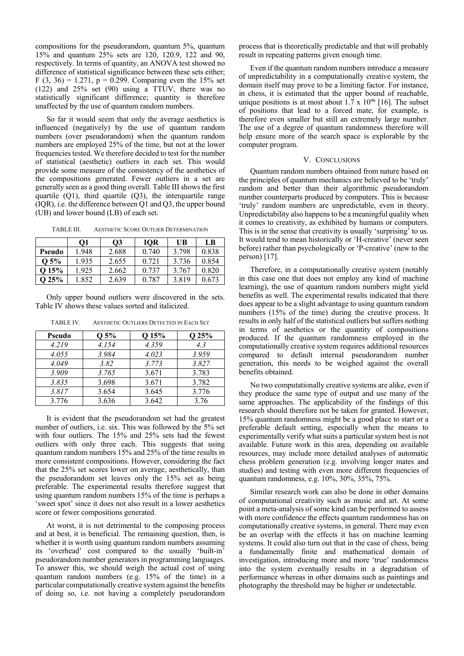compositions for the pseudorandom, quantum 5%, quantum 15% and quantum 25% sets are 120, 120.9, 122 and 90, respectively. In terms of quantity, an ANOVA test showed no difference of statistical significance between these sets either; F (3, 36) = 1.271, p = 0.299. Comparing even the 15% set (122) and 25% set (90) using a TTUV, there was no statistically significant difference; quantity is therefore unaffected by the use of quantum random numbers.

So far it would seem that only the average aesthetics is influenced (negatively) by the use of quantum random numbers (over pseudorandom) when the quantum random numbers are employed 25% of the time, but not at the lower frequencies tested. We therefore decided to test for the number of statistical (aesthetic) outliers in each set. This would provide some measure of the consistency of the aesthetics of the compositions generated. Fewer outliers in a set are generally seen as a good thing overall. Table III showsthe first quartile (Q1), third quartile (Q3), the interquartile range (IQR), i.e. the difference between Q1 and Q3, the upper bound (UB) and lower bound (LB) of each set.

TABLE III. AESTHETIC SCORE OUTLIER DETERMINATION

|         | O1    | <b>O3</b> | <b>IOR</b> | UB    | L <sub>B</sub> |
|---------|-------|-----------|------------|-------|----------------|
| Pseudo  | 1.948 | 2.688     | 0.740      | 3.798 | 0.838          |
| $0.5\%$ | 1.935 | 2.655     | 0.721      | 3.736 | 0.854          |
| Q15%    | 1.925 | 2.662     | 0.737      | 3.767 | 0.820          |
| Q 25%   | 1.852 | 2.639     | 0.787      | 3.819 | 0.673          |

Only upper bound outliers were discovered in the sets. Table IV shows these values sorted and italicized.

| Pseudo | Q 5%  | Q 15% | $Q$ 25% |
|--------|-------|-------|---------|
| 4.219  | 4.154 | 4.359 | 4.3     |
| 4.055  | 3.984 | 4.023 | 3.959   |
| 4.049  | 3.82  | 3.773 | 3.827   |
| 3.909  | 3.765 | 3.671 | 3.783   |
| 3.835  | 3.698 | 3.671 | 3.782   |
| 3.817  | 3.654 | 3.645 | 3.776   |
| 3.776  | 3.636 | 3.642 | 3.76    |

TABLE IV. AESTHETIC OUTLIERS DETECTED IN EACH SET

It is evident that the pseudorandom set had the greatest number of outliers, i.e. six. This was followed by the 5% set with four outliers. The 15% and 25% sets had the fewest outliers with only three each. This suggests that using quantum random numbers 15% and 25% of the time results in more consistent compositions. However, considering the fact that the 25% set scores lower on average, aesthetically, than the pseudorandom set leaves only the 15% set as being preferable. The experimental results therefore suggest that using quantum random numbers 15% of the time is perhaps a 'sweet spot' since it does not also result in a lower aesthetics score or fewer compositions generated.

At worst, it is not detrimental to the composing process and at best, it is beneficial. The remaining question, then, is whether it is worth using quantum random numbers assuming its 'overhead' cost compared to the usually 'built-in' pseudorandom number generators in programming languages. To answer this, we should weigh the actual cost of using quantum random numbers (e.g. 15% of the time) in a particular computationally creative system against the benefits of doing so, i.e. not having a completely pseudorandom process that is theoretically predictable and that will probably result in repeating patterns given enough time.

Even if the quantum random numbers introduce a measure of unpredictability in a computationally creative system, the domain itself may prove to be a limiting factor. For instance, in chess, it is estimated that the upper bound of reachable, unique positions is at most about  $1.7 \times 10^{46}$  [16]. The subset of positions that lead to a forced mate, for example, is therefore even smaller but still an extremely large number. The use of a degree of quantum randomness therefore will help ensure more of the search space is explorable by the computer program.

### V. CONCLUSIONS

Quantum random numbers obtained from nature based on the principles of quantum mechanics are believed to be 'truly' random and better than their algorithmic pseudorandom number counterparts produced by computers. This is because 'truly' random numbers are unpredictable, even in theory. Unpredictability also happens to be a meaningful quality when it comes to creativity, as exhibited by humans or computers. This is in the sense that creativity is usually 'surprising' to us. It would tend to mean historically or 'H-creative' (never seen before) rather than psychologically or 'P-creative' (new to the person) [17].

Therefore, in a computationally creative system (notably in this case one that does not employ any kind of machine learning), the use of quantum random numbers might yield benefits as well. The experimental results indicated that there does appear to be a slight advantage to using quantum random numbers (15% of the time) during the creative process. It results in only half of the statistical outliers but suffers nothing in terms of aesthetics or the quantity of compositions produced. If the quantum randomness employed in the computationally creative system requires additional resources compared to default internal pseudorandom number generation, this needs to be weighed against the overall benefits obtained.

No two computationally creative systems are alike, even if they produce the same type of output and use many of the same approaches. The applicability of the findings of this research should therefore not be taken for granted. However, 15% quantum randomness might be a good place to start or a preferable default setting, especially when the means to experimentally verify what suits a particular system best is not available. Future work in this area, depending on available resources, may include more detailed analyses of automatic chess problem generation (e.g. involving longer mates and studies) and testing with even more different frequencies of quantum randomness, e.g. 10%, 30%, 35%, 75%.

Similar research work can also be done in other domains of computational creativity such as music and art. At some point a meta-analysis of some kind can be performed to assess with more confidence the effects quantum randomness has on computationally creative systems, in general. There may even be an overlap with the effects it has on machine learning systems. It could also turn out that in the case of chess, being a fundamentally finite and mathematical domain of investigation, introducing more and more 'true' randomness into the system eventually results in a degradation of performance whereas in other domains such as paintings and photography the threshold may be higher or undetectable.